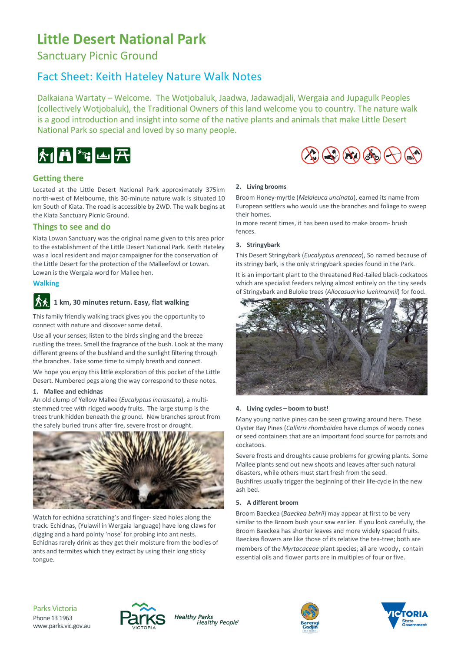# **Little Desert National Park**

Sanctuary Picnic Ground

# Fact Sheet: Keith Hateley Nature Walk Notes

Dalkaiana Wartaty – Welcome. The Wotjobaluk, Jaadwa, Jadawadjali, Wergaia and Jupagulk Peoples (collectively Wotjobaluk), the Traditional Owners of this land welcome you to country. The nature walk is a good introduction and insight into some of the native plants and animals that make Little Desert National Park so special and loved by so many people.



# **Getting there**

Located at the Little Desert National Park approximately 375km north-west of Melbourne, this 30-minute nature walk is situated 10 km South of Kiata. The road is accessible by 2WD. The walk begins at the Kiata Sanctuary Picnic Ground.

# **Things to see and do**

Kiata Lowan Sanctuary was the original name given to this area prior to the establishment of the Little Desert National Park. Keith Hateley was a local resident and major campaigner for the conservation of the Little Desert for the protection of the Malleefowl or Lowan. Lowan is the Wergaia word for Mallee hen.

#### **Walking**

# **1 km, 30 minutes return. Easy, flat walking**

This family friendly walking track gives you the opportunity to connect with nature and discover some detail.

Use all your senses; listen to the birds singing and the breeze rustling the trees. Smell the fragrance of the bush. Look at the many different greens of the bushland and the sunlight filtering through the branches. Take some time to simply breath and connect.

We hope you enjoy this little exploration of this pocket of the Little Desert. Numbered pegs along the way correspond to these notes.

#### **1. Mallee and echidnas**

An old clump of Yellow Mallee (*Eucalyptus incrassata*), a multistemmed tree with ridged woody fruits. The large stump is the trees trunk hidden beneath the ground. New branches sprout from the safely buried trunk after fire, severe frost or drought.



Watch for echidna scratching's and finger- sized holes along the track. Echidnas, (Yulawil in Wergaia language) have long claws for digging and a hard pointy 'nose' for probing into ant nests. Echidnas rarely drink as they get their moisture from the bodies of ants and termites which they extract by using their long sticky tongue.

# **2. Living brooms**

Broom Honey-myrtle (*Melaleuca uncinata*), earned its name from European settlers who would use the branches and foliage to sweep their homes.

 $\bigoplus$   $\bigoplus$   $\bigoplus$   $\bigoplus$   $\bigoplus$ 

In more recent times, it has been used to make broom- brush fences.

# **3. Stringybark**

This Desert Stringybark (*Eucalyptus arenacea*), So named because of its stringy bark, is the only stringybark species found in the Park.

It is an important plant to the threatened Red-tailed black-cockatoos which are specialist feeders relying almost entirely on the tiny seeds of Stringybark and Buloke trees (*Allocasuarina luehmannii*) for food.



# **4. Living cycles – boom to bust!**

Many young native pines can be seen growing around here. These Oyster Bay Pines (*Callitris rhomboidea* have clumps of woody cones or seed containers that are an important food source for parrots and cockatoos.

Severe frosts and droughts cause problems for growing plants. Some Mallee plants send out new shoots and leaves after such natural disasters, while others must start fresh from the seed. Bushfires usually trigger the beginning of their life-cycle in the new ash bed.

# **5. A different broom**

Broom Baeckea (*Baeckea behrii*) may appear at first to be very similar to the Broom bush your saw earlier. If you look carefully, the Broom Baeckea has shorter leaves and more widely spaced fruits. Baeckea flowers are like those of its relative the tea-tree; both are members of the *Myrtacaceae* plant species; all are woody, contain essential oils and flower parts are in multiples of four or five.

Parks Victoria Phone 13 1963 www.parks.vic.gov.au



**Healthy Parks** Healthy People®